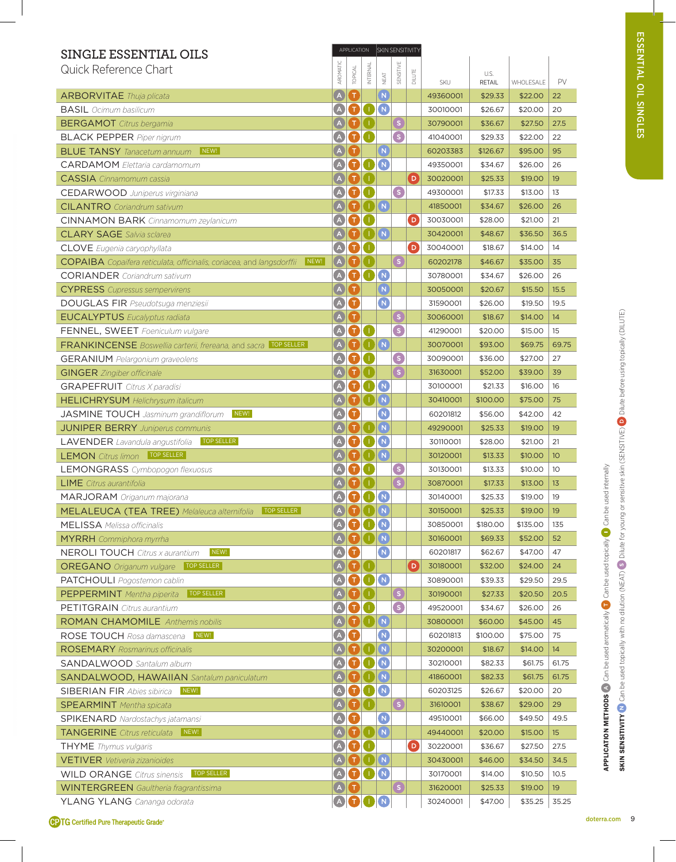| SINGLE ESSENTIAL OILS                                                                |                                                          | APPLICATION                            |                                  |                                       | SKIN SENSITIVITY     |             |          |               |           |       |
|--------------------------------------------------------------------------------------|----------------------------------------------------------|----------------------------------------|----------------------------------|---------------------------------------|----------------------|-------------|----------|---------------|-----------|-------|
| Quick Reference Chart                                                                | AROMATIC                                                 | TOPICAL                                | INTERNAL                         |                                       | SENSITIVE            |             |          | U.S.          |           |       |
|                                                                                      |                                                          |                                        |                                  | NEAT                                  |                      | DILUTE      | SKU      | <b>RETAIL</b> | WHOLESALE | PV    |
| <b>ARBORVITAE</b> Thuja plicata                                                      | A                                                        | $\mathbf{T}$                           |                                  | $\overline{\mathbf{N}}$               |                      |             | 49360001 | \$29.33       | \$22.00   | 22    |
| <b>BASIL</b> Ocimum basilicum                                                        | A                                                        | o                                      | O.                               | $\sqrt{N}$                            |                      |             | 30010001 | \$26.67       | \$20.00   | 20    |
| <b>BERGAMOT</b> Citrus bergamia                                                      | A                                                        | O                                      | J.                               |                                       | S                    |             | 30790001 | \$36.67       | \$27.50   | 27.5  |
| <b>BLACK PEPPER</b> Piper nigrum                                                     | $\left( \mathbf{A}\right)$                               | o                                      | П                                |                                       | S.                   |             | 41040001 | \$29.33       | \$22.00   | 22    |
| NEW!<br><b>BLUE TANSY</b> Tanacetum annuum                                           |                                                          | т                                      |                                  | (N)                                   |                      |             | 60203383 | \$126.67      | \$95.00   | 95    |
| <b>CARDAMOM</b> Flettaria cardamomum                                                 | $\left( \mathbb{A}\right)$                               | T)                                     | H)                               | $\sqrt{N}$                            |                      |             | 49350001 | \$34.67       | \$26.00   | 26    |
| <b>CASSIA</b> Cinnamomum cassia                                                      | A                                                        | o                                      | O.                               |                                       |                      | $\boxed{D}$ | 30020001 | \$25.33       | \$19.00   | 19    |
| <b>CEDARWOOD</b> Juniperus virginiana                                                | $\Delta$                                                 | T.                                     |                                  |                                       | S                    |             | 49300001 | \$17.33       | \$13.00   | 13    |
| <b>CILANTRO</b> Coriandrum sativum                                                   |                                                          |                                        |                                  | $\mathbf{I}$ $\mathbf{N}$             |                      |             | 41850001 | \$34.67       | \$26.00   | 26    |
| <b>CINNAMON BARK</b> Cinnamomum zeylanicum                                           | $\left( \begin{matrix} \Delta \end{matrix} \right)$      | $\blacksquare$                         | Ο.                               |                                       |                      | $\Box$      | 30030001 | \$28.00       | \$21.00   | 21    |
| <b>CLARY SAGE</b> Salvia sclarea                                                     | A                                                        | O                                      | $\blacksquare$                   |                                       |                      |             | 30420001 | \$48.67       | \$36.50   | 36.5  |
| <b>CLOVE</b> Eugenia caryophyllata                                                   | A                                                        | $\bf \Omega$                           | O.                               |                                       |                      | $\boxed{D}$ | 30040001 | \$18.67       | \$14.00   | 14    |
| NEW!<br><b>COPAIBA</b> Copaifera reticulata, officinalis, coriacea, and langsdorffii | A                                                        | $\mathsf T$                            |                                  |                                       | $\bullet$            |             | 60202178 | \$46.67       | \$35.00   | 35    |
| <b>CORIANDER</b> Coriandrum sativum                                                  | A                                                        | $\bf \bm \Omega$                       | 0                                | $\sqrt{N}$                            |                      |             | 30780001 | \$34.67       | \$26.00   | 26    |
| <b>CYPRESS</b> Cupressus sempervirens                                                | A                                                        | Π,                                     |                                  | $\left(\mathsf{N}\right)$             |                      |             | 30050001 | \$20.67       | \$15.50   | 15.5  |
| <b>DOUGLAS FIR Pseudotsuga menziesii</b>                                             | A                                                        | O                                      |                                  | $\bullet$                             |                      |             | 31590001 | \$26.00       | \$19.50   | 19.5  |
| <b>EUCALYPTUS</b> Eucalyptus radiata                                                 | $\left( \begin{matrix} A \end{matrix} \right)$           | $\mathsf T$                            |                                  |                                       | $\boxed{\mathsf{S}}$ |             | 30060001 | \$18.67       | \$14.00   | 14    |
| FENNEL, SWEET Foeniculum vulgare                                                     | $\blacktriangle$                                         | T)                                     | $\blacksquare$                   |                                       | S                    |             | 41290001 | \$20.00       | \$15.00   | 15    |
| <b>FRANKINCENSE</b> Boswellia carterii, frereana, and sacra <b>TOP SELLER</b>        | $\overline{A}$                                           | T                                      |                                  | $\begin{bmatrix} 1 \end{bmatrix}$ (N) |                      |             | 30070001 | \$93.00       | \$69.75   | 69.75 |
| <b>GERANIUM</b> Pelargonium graveolens                                               | $\bigcirc$                                               | T)                                     | $\bullet$                        |                                       | G                    |             | 30090001 | \$36.00       | \$27.00   | 27    |
| <b>GINGER</b> Zingiber officinale                                                    | $\mathsf{A}$                                             |                                        |                                  |                                       | $\mathsf{s}$         |             | 31630001 | \$52.00       | \$39.00   | 39    |
| <b>GRAPEFRUIT</b> Citrus X paradisi                                                  |                                                          | Τ                                      |                                  | (N                                    |                      |             | 30100001 | \$21.33       | \$16.00   | 16    |
| <b>HELICHRYSUM</b> Helichrysum italicum                                              |                                                          | т                                      |                                  | (N)                                   |                      |             | 30410001 | \$100.00      | \$75.00   | 75    |
| NEW!<br><b>JASMINE TOUCH</b> Jasminum grandiflorum                                   | (A)                                                      | T                                      |                                  | $\overline{\mathsf{N}}$               |                      |             | 60201812 | \$56.00       | \$42.00   | 42    |
| <b>JUNIPER BERRY</b> Juniperus communis                                              |                                                          |                                        |                                  | (N)                                   |                      |             | 49290001 | \$25.33       | \$19.00   | 19    |
| <b>TOP SELLER</b><br><b>LAVENDER</b> Lavandula angustifolia                          |                                                          |                                        |                                  | N                                     |                      |             | 30110001 | \$28.00       | \$21.00   | 21    |
| TOP SELLER<br><b>LEMON</b> Citrus limon                                              |                                                          |                                        |                                  | $\sqrt{N}$                            |                      |             | 30120001 | \$13.33       | \$10.00   | 10    |
| <b>LEMONGRASS</b> Cymbopogon flexuosus                                               | $\overline{A}$                                           |                                        |                                  |                                       | G                    |             | 30130001 | \$13.33       | \$10.00   | 10    |
| <b>LIME</b> Citrus aurantifolia                                                      |                                                          |                                        |                                  |                                       | $\mathsf{S}$         |             | 30870001 | \$17.33       | \$13.00   | 13    |
| <b>MARJORAM</b> Origanum majorana                                                    | A                                                        | o                                      |                                  | $\sqrt{N}$                            |                      |             | 30140001 | \$25.33       | \$19.00   | 19    |
| MELALEUCA (TEA TREE) Melaleuca alternifolia<br>TOP SELLER                            |                                                          | <b>ADDN</b>                            |                                  |                                       |                      |             | 30150001 | \$25.33       | \$19.00   | 19    |
| <b>MELISSA</b> Melissa officinalis                                                   | A                                                        | $\blacksquare$                         | $\blacksquare$                   | $\left(\mathsf{N}\right)$             |                      |             | 30850001 | \$180.00      | \$135.00  | 135   |
| <b>MYRRH</b> Commiphora myrrha                                                       | A                                                        |                                        | $\bigcirc$ $\bigcirc$ $\bigcirc$ |                                       |                      |             | 30160001 | \$69.33       | \$52.00   | 52    |
| NEW!<br><b>NEROLI TOUCH</b> Citrus x aurantium                                       | A                                                        | O                                      |                                  | $\boxed{\mathsf{N}}$                  |                      |             | 60201817 | \$62.67       | \$47.00   | 47    |
| <b>OREGANO</b> Origanum vulgare TOP SELLER                                           | $\left( \mathbf{A}\right)$                               | $\left  \mathbf{T} \right $            | $\blacksquare$                   |                                       |                      | $\boxed{D}$ | 30180001 | \$32.00       | \$24.00   | 24    |
| PATCHOULI Pogostemon cablin                                                          | $\left( \begin{array}{c} A \end{array} \right)$          | $\blacksquare$                         | $\mathbf{O}(\mathbf{N})$         |                                       |                      |             | 30890001 | \$39.33       | \$29.50   | 29.5  |
| TOP SELLER<br><b>PEPPERMINT</b> Mentha piperita                                      | A                                                        | oa                                     |                                  |                                       | G                    |             | 30190001 | \$27.33       | \$20.50   | 20.5  |
| <b>PETITGRAIN</b> Citrus aurantium                                                   | A                                                        | oa                                     |                                  |                                       | S                    |             | 49520001 | \$34.67       | \$26.00   | 26    |
| <b>ROMAN CHAMOMILE</b> Anthemis nobilis                                              | $\overline{A}$                                           | $\blacksquare$                         |                                  |                                       |                      |             | 30800001 | \$60.00       | \$45.00   | 45    |
| NEW!<br>ROSE TOUCH Rosa damascena                                                    | A                                                        | O                                      |                                  | $\blacksquare$                        |                      |             | 60201813 | \$100.00      | \$75.00   | 75    |
| <b>ROSEMARY</b> Rosmarinus officinalis                                               | A                                                        | $\mathbf \Omega$                       | $\Box$                           | $\overline{\mathsf{N}}$               |                      |             | 30200001 | \$18.67       | \$14.00   | 14    |
| <b>SANDALWOOD</b> Santalum album                                                     | $\left( \begin{matrix} A \end{matrix} \right)$           | $\blacksquare$                         | O                                | $\overline{N}$                        |                      |             | 30210001 | \$82.33       | \$61.75   | 61.75 |
| <b>SANDALWOOD, HAWAIIAN</b> Santalum paniculatum                                     | $\mathbf{A}$                                             |                                        |                                  | (N)                                   |                      |             | 41860001 | \$82.33       | \$61.75   | 61.75 |
| NEW!<br><b>SIBERIAN FIR Abies sibirica</b>                                           | A                                                        | o                                      | D                                | $\sqrt{N}$                            |                      |             | 60203125 | \$26.67       | \$20.00   | 20    |
| <b>SPEARMINT</b> Mentha spicata                                                      | A                                                        | $\mathbf \Omega$                       | Œ                                |                                       | S                    |             | 31610001 | \$38.67       | \$29.00   | 29    |
| <b>SPIKENARD</b> Nardostachys jatamansi                                              | Ø                                                        | O                                      |                                  | $\boxed{\mathsf{N}}$                  |                      |             | 49510001 | \$66.00       | \$49.50   | 49.5  |
| <b>TANGERINE</b> Citrus reticulata<br>$\vert$ New! $\vert$                           | $\mathsf{A}_{1}$                                         | T)                                     | $\bigcap \mathbb{N}$             |                                       |                      |             | 49440001 | \$20.00       | \$15.00   | 15    |
| <b>THYME</b> Thymus vulgaris                                                         | $\left( \begin{smallmatrix} A \end{smallmatrix} \right)$ | T)                                     | $\blacksquare$                   |                                       |                      | O           | 30220001 | \$36.67       | \$27.50   | 27.5  |
| <b>VETIVER</b> Vetiveria zizanioides                                                 |                                                          |                                        |                                  | $\mathbf{I}$ $\mathbf{N}$             |                      |             | 30430001 | \$46.00       | \$34.50   | 34.5  |
| <b>TOP SELLER</b><br><b>WILD ORANGE</b> Citrus sinensis                              | $\bullet$                                                | $\mathbf{O}$ $\mathbf{O}$ $\mathbf{O}$ |                                  |                                       |                      |             | 30170001 | \$14.00       | \$10.50   | 10.5  |
| <b>WINTERGREEN</b> Gaultheria fragrantissima                                         | A                                                        | ίТ.                                    |                                  |                                       | $\boxed{\mathsf{S}}$ |             | 31620001 | \$25.33       | \$19.00   | 19    |
| YLANG YLANG Cananga odorata                                                          | $\bigcirc$                                               | $\bullet$                              | D                                | $\left(\mathbf{N}\right)$             |                      |             | 30240001 | \$47.00       | \$35.25   | 35.25 |

APPLICATION METHODS Can be used aromatically Can be used topically Can be used internally

**CPTG Certified Pure Therapeutic Grade®**